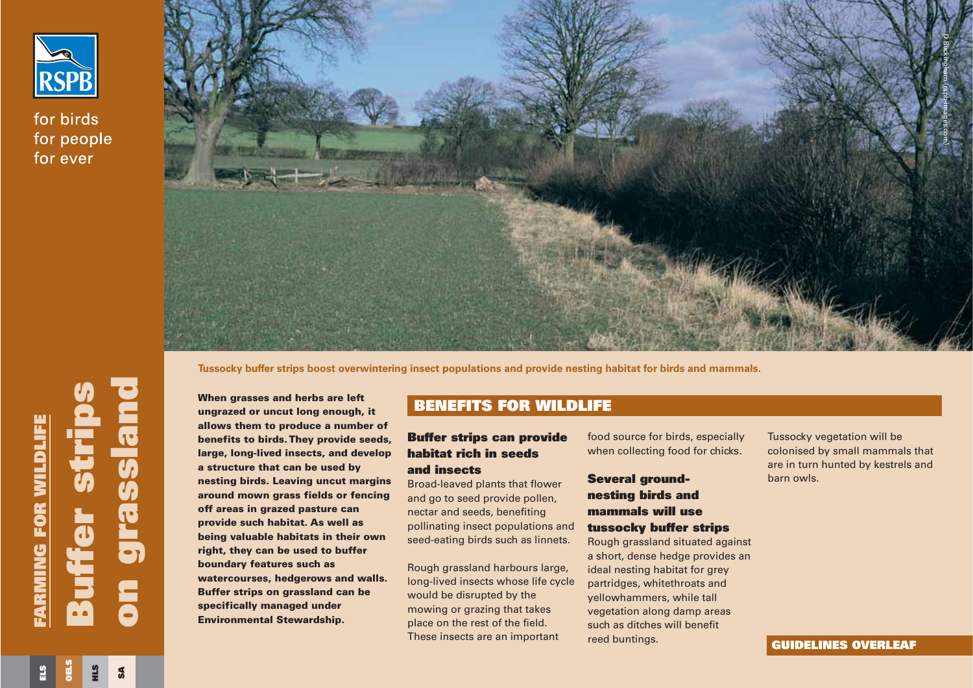

for birds for people for ever



**Tussocky buffer strips boost overwintering insect populations and provide nesting habitat for birds and mammals.**

**Buffer strips** FARMING FOR WILDLIFE **FARMING FOR WILDLIFE** i e

**When grasses and herbs are left ungrazed or uncut long enough, it allows them to produce a number of benefits to birds. They provide seeds, large, long-lived insects, and develop <sup>a</sup> structure that can be used by nesting birds. Leaving uncut margins around mown grass fields or fencing off areas in grazed pasture can provide such habitat. As well as being valuable habitats in their own right, they can be used to buffer boundary features such as watercourses, hedgerows and walls. Buffer strips on grassland can be specifically managed under Environmental Stewardship.** When grasses and herbs are left<br>ungrazed or uncut long enough, it<br>allows them to produce a number of<br>benefits to birds. They provide seeds,<br>large, long-lived insects, and develop **habitat rich in seeds** a<br>structure that ca

# **BENEFITS FOR WILDLIFE**

## **Buffer strips can provide habitat rich in seeds and insects**

Broad-leaved plants that flower and go to seed provide pollen, nectar and seeds, benefiting pollinating insect populations and seed-eating birds such as linnets.

Rough grassland harbours large, long-lived insects whose life cycle would be disrupted by the mowing or grazing that takes place on the rest of the field. These insects are an important

reed buntings.

Tussocky vegetation will be colonised by small mammals that are in turn hunted by kestrels and barn owls.

**HLS**

**SA**